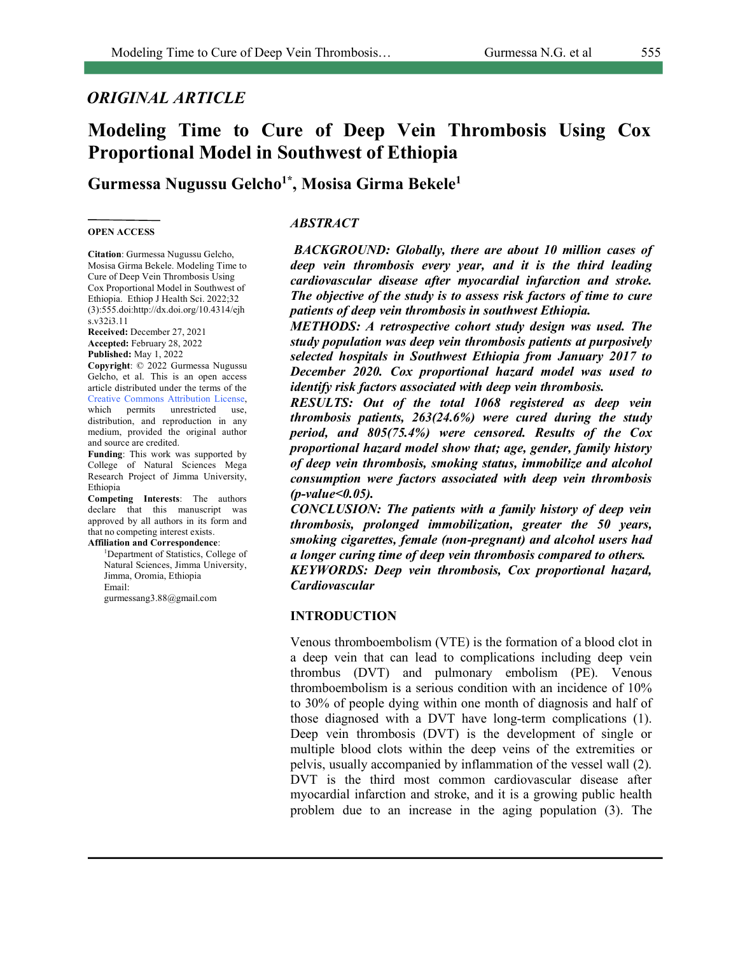## *ORIGINAL ARTICLE*

# **Modeling Time to Cure of Deep Vein Thrombosis Using Cox Proportional Model in Southwest of Ethiopia**

# **Gurmessa Nugussu Gelcho1\*, Mosisa Girma Bekele1**

#### **OPEN ACCESS**

*ABSTRACT*

**Citation**: Gurmessa Nugussu Gelcho, Mosisa Girma Bekele. Modeling Time to Cure of Deep Vein Thrombosis Using Cox Proportional Model in Southwest of Ethiopia. Ethiop J Health Sci. 2022;32 (3):555.doi:http://dx.doi.org/10.4314/ejh s.v32i3.11

**Received:** December 27, 2021 **Accepted:** February 28, 2022 **Published:** May 1, 2022

**Copyright**: © 2022 Gurmessa Nugussu Gelcho, et al. This is an open access article distributed under the terms of the Creative Commons Attribution License, which permits unrestricted use, distribution, and reproduction in any medium, provided the original author and source are credited.

**Funding**: This work was supported by College of Natural Sciences Mega Research Project of Jimma University, Ethiopia

**Competing Interests**: The authors declare that this manuscript was approved by all authors in its form and that no competing interest exists. **Affiliation and Correspondence**:

1 Department of Statistics, College of Natural Sciences, Jimma University, Jimma, Oromia, Ethiopia Email:

gurmessang3.88@gmail.com

*BACKGROUND: Globally, there are about 10 million cases of deep vein thrombosis every year, and it is the third leading cardiovascular disease after myocardial infarction and stroke. The objective of the study is to assess risk factors of time to cure patients of deep vein thrombosis in southwest Ethiopia.* 

*METHODS: A retrospective cohort study design was used. The study population was deep vein thrombosis patients at purposively selected hospitals in Southwest Ethiopia from January 2017 to December 2020. Cox proportional hazard model was used to identify risk factors associated with deep vein thrombosis.* 

*RESULTS: Out of the total 1068 registered as deep vein thrombosis patients, 263(24.6%) were cured during the study period, and 805(75.4%) were censored. Results of the Cox proportional hazard model show that; age, gender, family history of deep vein thrombosis, smoking status, immobilize and alcohol consumption were factors associated with deep vein thrombosis (p-value<0.05).* 

*CONCLUSION: The patients with a family history of deep vein thrombosis, prolonged immobilization, greater the 50 years, smoking cigarettes, female (non-pregnant) and alcohol users had a longer curing time of deep vein thrombosis compared to others. KEYWORDS: Deep vein thrombosis, Cox proportional hazard, Cardiovascular*

#### **INTRODUCTION**

Venous thromboembolism (VTE) is the formation of a blood clot in a deep vein that can lead to complications including deep vein thrombus (DVT) and pulmonary embolism (PE). Venous thromboembolism is a serious condition with an incidence of 10% to 30% of people dying within one month of diagnosis and half of those diagnosed with a DVT have long-term complications (1). Deep vein thrombosis (DVT) is the development of single or multiple blood clots within the deep veins of the extremities or pelvis, usually accompanied by inflammation of the vessel wall (2). DVT is the third most common cardiovascular disease after myocardial infarction and stroke, and it is a growing public health problem due to an increase in the aging population (3). The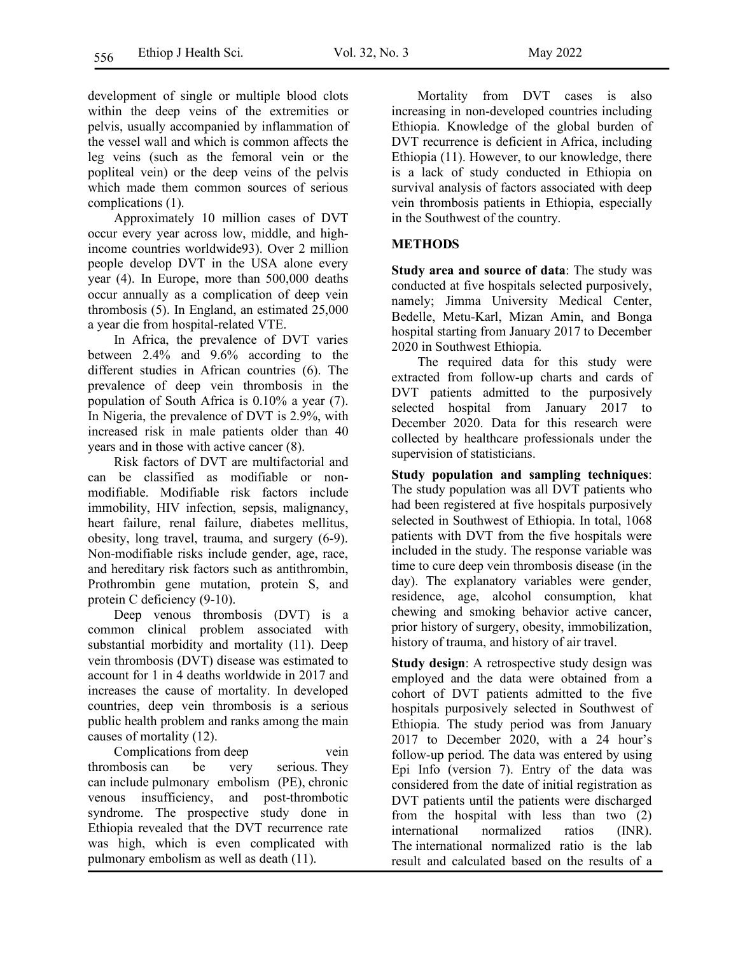development of single or multiple blood clots within the deep veins of the extremities or pelvis, usually accompanied by inflammation of the vessel wall and which is common affects the leg veins (such as the femoral vein or the popliteal vein) or the deep veins of the pelvis which made them common sources of serious complications (1).

Approximately 10 million cases of DVT occur every year across low, middle, and highincome countries worldwide93). Over 2 million people develop DVT in the USA alone every year (4). In Europe, more than 500,000 deaths occur annually as a complication of deep vein thrombosis (5). In England, an estimated 25,000 a year die from hospital-related VTE.

In Africa, the prevalence of DVT varies between 2.4% and 9.6% according to the different studies in African countries (6). The prevalence of deep vein thrombosis in the population of South Africa is 0.10% a year (7). In Nigeria, the prevalence of DVT is 2.9%, with increased risk in male patients older than 40 years and in those with active cancer (8).

Risk factors of DVT are multifactorial and can be classified as modifiable or nonmodifiable. Modifiable risk factors include immobility, HIV infection, sepsis, malignancy, heart failure, renal failure, diabetes mellitus, obesity, long travel, trauma, and surgery (6-9). Non-modifiable risks include gender, age, race, and hereditary risk factors such as antithrombin, Prothrombin gene mutation, protein S, and protein C deficiency (9-10).

Deep venous thrombosis (DVT) is a common clinical problem associated with substantial morbidity and mortality (11). Deep vein thrombosis (DVT) disease was estimated to account for 1 in 4 deaths worldwide in 2017 and increases the cause of mortality. In developed countries, deep vein thrombosis is a serious public health problem and ranks among the main causes of mortality (12).

Complications from deep vein thrombosis can be very serious. They can include pulmonary embolism (PE), chronic venous insufficiency, and post-thrombotic syndrome. The prospective study done in Ethiopia revealed that the DVT recurrence rate was high, which is even complicated with pulmonary embolism as well as death (11).

Mortality from DVT cases is also increasing in non-developed countries including Ethiopia. Knowledge of the global burden of DVT recurrence is deficient in Africa, including Ethiopia (11). However, to our knowledge, there is a lack of study conducted in Ethiopia on survival analysis of factors associated with deep vein thrombosis patients in Ethiopia, especially in the Southwest of the country.

### **METHODS**

**Study area and source of data**: The study was conducted at five hospitals selected purposively, namely; Jimma University Medical Center, Bedelle, Metu-Karl, Mizan Amin, and Bonga hospital starting from January 2017 to December 2020 in Southwest Ethiopia.

The required data for this study were extracted from follow-up charts and cards of DVT patients admitted to the purposively selected hospital from January 2017 to December 2020. Data for this research were collected by healthcare professionals under the supervision of statisticians.

**Study population and sampling techniques**: The study population was all DVT patients who had been registered at five hospitals purposively selected in Southwest of Ethiopia. In total, 1068 patients with DVT from the five hospitals were included in the study. The response variable was time to cure deep vein thrombosis disease (in the day). The explanatory variables were gender, residence, age, alcohol consumption, khat chewing and smoking behavior active cancer, prior history of surgery, obesity, immobilization, history of trauma, and history of air travel.

**Study design**: A retrospective study design was employed and the data were obtained from a cohort of DVT patients admitted to the five hospitals purposively selected in Southwest of Ethiopia. The study period was from January 2017 to December 2020, with a 24 hour's follow-up period. The data was entered by using Epi Info (version 7). Entry of the data was considered from the date of initial registration as DVT patients until the patients were discharged from the hospital with less than two (2) international normalized ratios (INR). The international normalized ratio is the lab result and calculated based on the results of a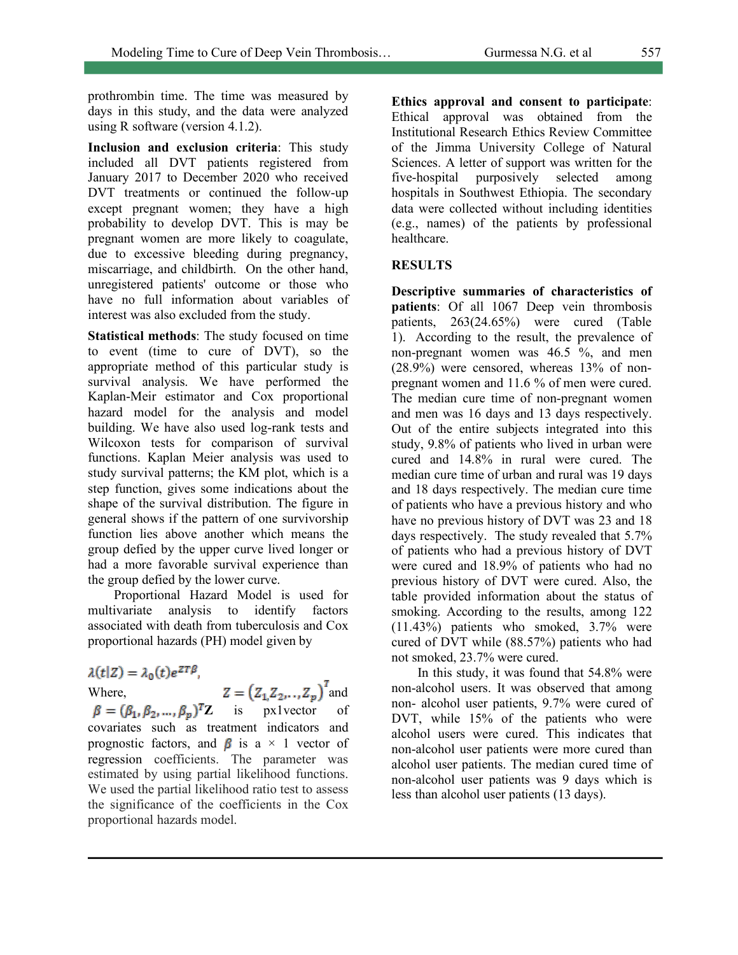prothrombin time. The time was measured by days in this study, and the data were analyzed using R software (version 4.1.2).

**Inclusion and exclusion criteria**: This study included all DVT patients registered from January 2017 to December 2020 who received DVT treatments or continued the follow-up except pregnant women; they have a high probability to develop DVT. This is may be pregnant women are more likely to coagulate, due to excessive bleeding during pregnancy, miscarriage, and childbirth. On the other hand, unregistered patients' outcome or those who have no full information about variables of interest was also excluded from the study.

**Statistical methods**: The study focused on time to event (time to cure of DVT), so the appropriate method of this particular study is survival analysis. We have performed the Kaplan-Meir estimator and Cox proportional hazard model for the analysis and model building. We have also used log-rank tests and Wilcoxon tests for comparison of survival functions. Kaplan Meier analysis was used to study survival patterns; the KM plot, which is a step function, gives some indications about the shape of the survival distribution. The figure in general shows if the pattern of one survivorship function lies above another which means the group defied by the upper curve lived longer or had a more favorable survival experience than the group defied by the lower curve.

Proportional Hazard Model is used for multivariate analysis to identify factors associated with death from tuberculosis and Cox proportional hazards (PH) model given by

 $\lambda(t|Z) = \lambda_0(t)e^{ZT\beta}$ 

Where,  $Z = (Z_1 Z_2, Z_3)$  and **Z** is px1vector of covariates such as treatment indicators and prognostic factors, and  $\beta$  is a  $\times$  1 vector of regression coefficients. The parameter was estimated by using partial likelihood functions. We used the partial likelihood ratio test to assess the significance of the coefficients in the Cox proportional hazards model.

**Ethics approval and consent to participate**: Ethical approval was obtained from the Institutional Research Ethics Review Committee of the Jimma University College of Natural Sciences. A letter of support was written for the five-hospital purposively selected among hospitals in Southwest Ethiopia. The secondary data were collected without including identities (e.g., names) of the patients by professional healthcare.

### **RESULTS**

**Descriptive summaries of characteristics of patients**: Of all 1067 Deep vein thrombosis patients, 263(24.65%) were cured (Table 1). According to the result, the prevalence of non-pregnant women was 46.5 %, and men (28.9%) were censored, whereas 13% of nonpregnant women and 11.6 % of men were cured. The median cure time of non-pregnant women and men was 16 days and 13 days respectively. Out of the entire subjects integrated into this study, 9.8% of patients who lived in urban were cured and 14.8% in rural were cured. The median cure time of urban and rural was 19 days and 18 days respectively. The median cure time of patients who have a previous history and who have no previous history of DVT was 23 and 18 days respectively. The study revealed that 5.7% of patients who had a previous history of DVT were cured and 18.9% of patients who had no previous history of DVT were cured. Also, the table provided information about the status of smoking. According to the results, among 122 (11.43%) patients who smoked, 3.7% were cured of DVT while (88.57%) patients who had not smoked, 23.7% were cured.

In this study, it was found that 54.8% were non-alcohol users. It was observed that among non- alcohol user patients, 9.7% were cured of DVT, while 15% of the patients who were alcohol users were cured. This indicates that non-alcohol user patients were more cured than alcohol user patients. The median cured time of non-alcohol user patients was 9 days which is less than alcohol user patients (13 days).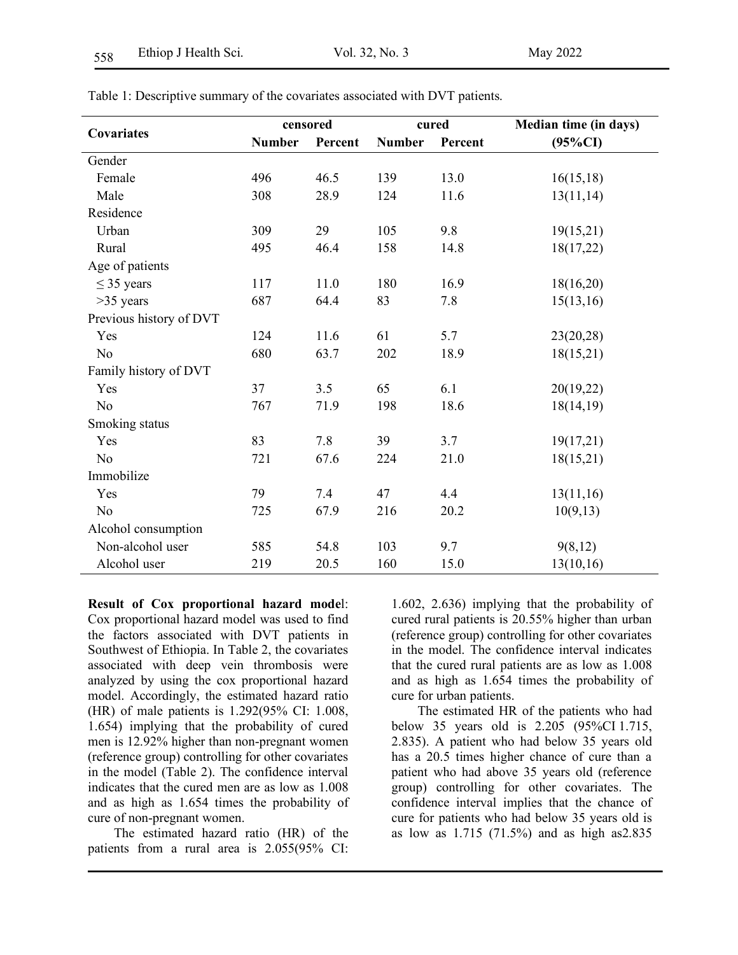|                         | censored      |         | cured                    |      | <b>Median time (in days)</b> |
|-------------------------|---------------|---------|--------------------------|------|------------------------------|
| Covariates              | <b>Number</b> | Percent | <b>Number</b><br>Percent |      | $(95\%CI)$                   |
| Gender                  |               |         |                          |      |                              |
| Female                  | 496           | 46.5    | 139                      | 13.0 | 16(15,18)                    |
| Male                    | 308           | 28.9    | 124                      | 11.6 | 13(11,14)                    |
| Residence               |               |         |                          |      |                              |
| Urban                   | 309           | 29      | 105                      | 9.8  | 19(15,21)                    |
| Rural                   | 495           | 46.4    | 158                      | 14.8 | 18(17,22)                    |
| Age of patients         |               |         |                          |      |                              |
| $\leq$ 35 years         | 117           | 11.0    | 180                      | 16.9 | 18(16,20)                    |
| $>35$ years             | 687           | 64.4    | 83                       | 7.8  | 15(13,16)                    |
| Previous history of DVT |               |         |                          |      |                              |
| Yes                     | 124           | 11.6    | 61                       | 5.7  | 23(20, 28)                   |
| N <sub>o</sub>          | 680           | 63.7    | 202                      | 18.9 | 18(15,21)                    |
| Family history of DVT   |               |         |                          |      |                              |
| Yes                     | 37            | 3.5     | 65                       | 6.1  | 20(19,22)                    |
| N <sub>o</sub>          | 767           | 71.9    | 198                      | 18.6 | 18(14,19)                    |
| Smoking status          |               |         |                          |      |                              |
| Yes                     | 83            | 7.8     | 39                       | 3.7  | 19(17,21)                    |
| N <sub>0</sub>          | 721           | 67.6    | 224                      | 21.0 | 18(15,21)                    |
| Immobilize              |               |         |                          |      |                              |
| Yes                     | 79            | 7.4     | 47                       | 4.4  | 13(11,16)                    |
| N <sub>o</sub>          | 725           | 67.9    | 216                      | 20.2 | 10(9,13)                     |
| Alcohol consumption     |               |         |                          |      |                              |
| Non-alcohol user        | 585           | 54.8    | 103                      | 9.7  | 9(8,12)                      |
| Alcohol user            | 219           | 20.5    | 160                      | 15.0 | 13(10,16)                    |

Table 1: Descriptive summary of the covariates associated with DVT patients.

**Result of Cox proportional hazard mode**l: Cox proportional hazard model was used to find the factors associated with DVT patients in Southwest of Ethiopia. In Table 2, the covariates associated with deep vein thrombosis were analyzed by using the cox proportional hazard model. Accordingly, the estimated hazard ratio (HR) of male patients is 1.292(95% CI: 1.008, 1.654) implying that the probability of cured men is 12.92% higher than non-pregnant women (reference group) controlling for other covariates in the model (Table 2). The confidence interval indicates that the cured men are as low as 1.008 and as high as 1.654 times the probability of cure of non-pregnant women.

The estimated hazard ratio (HR) of the patients from a rural area is 2.055(95% CI: 1.602, 2.636) implying that the probability of cured rural patients is 20.55% higher than urban (reference group) controlling for other covariates in the model. The confidence interval indicates that the cured rural patients are as low as 1.008 and as high as 1.654 times the probability of cure for urban patients.

The estimated HR of the patients who had below 35 years old is 2.205 (95%CI 1.715, 2.835). A patient who had below 35 years old has a 20.5 times higher chance of cure than a patient who had above 35 years old (reference group) controlling for other covariates. The confidence interval implies that the chance of cure for patients who had below 35 years old is as low as 1.715 (71.5%) and as high as2.835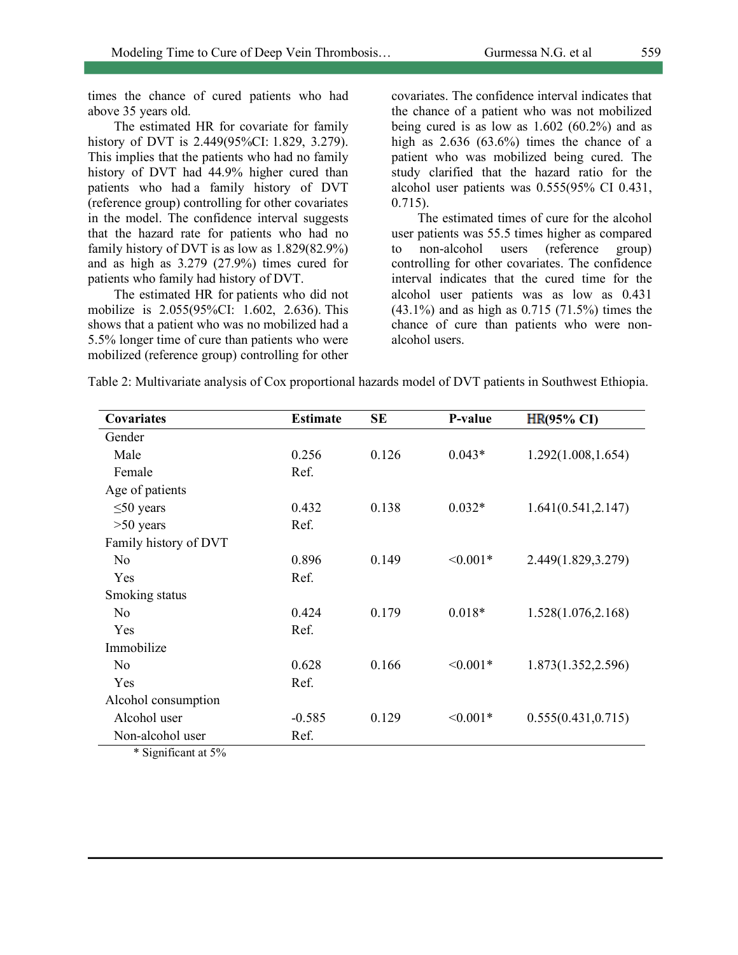times the chance of cured patients who had above 35 years old.

The estimated HR for covariate for family history of DVT is 2.449(95%CI: 1.829, 3.279). This implies that the patients who had no family history of DVT had 44.9% higher cured than patients who had a family history of DVT (reference group) controlling for other covariates in the model. The confidence interval suggests that the hazard rate for patients who had no family history of DVT is as low as 1.829(82.9%) and as high as 3.279 (27.9%) times cured for patients who family had history of DVT.

The estimated HR for patients who did not mobilize is 2.055(95%CI: 1.602, 2.636). This shows that a patient who was no mobilized had a 5.5% longer time of cure than patients who were mobilized (reference group) controlling for other covariates. The confidence interval indicates that the chance of a patient who was not mobilized being cured is as low as  $1.602$  (60.2%) and as high as  $2.636$   $(63.6\%)$  times the chance of a patient who was mobilized being cured. The study clarified that the hazard ratio for the alcohol user patients was 0.555(95% CI 0.431, 0.715).

The estimated times of cure for the alcohol user patients was 55.5 times higher as compared to non-alcohol users (reference group) controlling for other covariates. The confidence interval indicates that the cured time for the alcohol user patients was as low as 0.431 (43.1%) and as high as 0.715 (71.5%) times the chance of cure than patients who were nonalcohol users.

Table 2: Multivariate analysis of Cox proportional hazards model of DVT patients in Southwest Ethiopia.

| Covariates            | <b>Estimate</b> | <b>SE</b> | P-value    | $HR(95\% \text{ CI})$ |
|-----------------------|-----------------|-----------|------------|-----------------------|
| Gender                |                 |           |            |                       |
| Male                  | 0.256           | 0.126     | $0.043*$   | 1.292(1.008, 1.654)   |
| Female                | Ref.            |           |            |                       |
| Age of patients       |                 |           |            |                       |
| $\leq 50$ years       | 0.432           | 0.138     | $0.032*$   | 1.641(0.541, 2.147)   |
| $>50$ years           | Ref.            |           |            |                       |
| Family history of DVT |                 |           |            |                       |
| N <sub>o</sub>        | 0.896           | 0.149     | $< 0.001*$ | 2.449(1.829, 3.279)   |
| Yes                   | Ref.            |           |            |                       |
| Smoking status        |                 |           |            |                       |
| N <sub>o</sub>        | 0.424           | 0.179     | $0.018*$   | 1.528(1.076, 2.168)   |
| Yes                   | Ref.            |           |            |                       |
| Immobilize            |                 |           |            |                       |
| N <sub>0</sub>        | 0.628           | 0.166     | $< 0.001*$ | 1.873(1.352,2.596)    |
| Yes                   | Ref.            |           |            |                       |
| Alcohol consumption   |                 |           |            |                       |
| Alcohol user          | $-0.585$        | 0.129     | $< 0.001*$ | 0.555(0.431, 0.715)   |
| Non-alcohol user      | Ref.            |           |            |                       |

\* Significant at 5%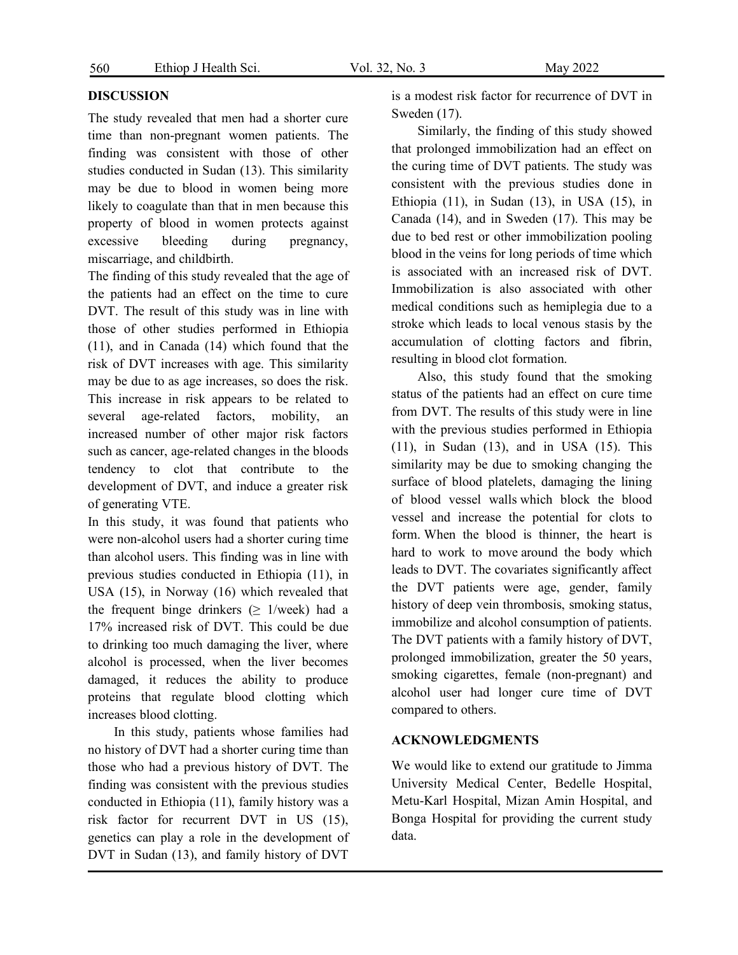#### **DISCUSSION**

The study revealed that men had a shorter cure time than non-pregnant women patients. The finding was consistent with those of other studies conducted in Sudan (13). This similarity may be due to blood in women being more likely to coagulate than that in men because this property of blood in women protects against excessive bleeding during pregnancy, miscarriage, and childbirth.

The finding of this study revealed that the age of the patients had an effect on the time to cure DVT. The result of this study was in line with those of other studies performed in Ethiopia (11), and in Canada (14) which found that the risk of DVT increases with age. This similarity may be due to as age increases, so does the risk. This increase in risk appears to be related to several age-related factors, mobility, an increased number of other major risk factors such as cancer, age-related changes in the bloods tendency to clot that contribute to the development of DVT, and induce a greater risk of generating VTE.

In this study, it was found that patients who were non-alcohol users had a shorter curing time than alcohol users. This finding was in line with previous studies conducted in Ethiopia (11), in USA (15), in Norway (16) which revealed that the frequent binge drinkers ( $\geq$  1/week) had a 17% increased risk of DVT. This could be due to drinking too much damaging the liver, where alcohol is processed, when the liver becomes damaged, it reduces the ability to produce proteins that regulate blood clotting which increases blood clotting.

In this study, patients whose families had no history of DVT had a shorter curing time than those who had a previous history of DVT. The finding was consistent with the previous studies conducted in Ethiopia (11), family history was a risk factor for recurrent DVT in US (15), genetics can play a role in the development of DVT in Sudan (13), and family history of DVT

is a modest risk factor for recurrence of DVT in Sweden (17).

Similarly, the finding of this study showed that prolonged immobilization had an effect on the curing time of DVT patients. The study was consistent with the previous studies done in Ethiopia (11), in Sudan (13), in USA (15), in Canada (14), and in Sweden (17). This may be due to bed rest or other immobilization pooling blood in the veins for long periods of time which is associated with an increased risk of DVT. Immobilization is also associated with other medical conditions such as hemiplegia due to a stroke which leads to local venous stasis by the accumulation of clotting factors and fibrin, resulting in blood clot formation.

Also, this study found that the smoking status of the patients had an effect on cure time from DVT. The results of this study were in line with the previous studies performed in Ethiopia (11), in Sudan (13), and in USA (15). This similarity may be due to smoking changing the surface of blood platelets, damaging the lining of blood vessel walls which block the blood vessel and increase the potential for clots to form. When the blood is thinner, the heart is hard to work to move around the body which leads to DVT. The covariates significantly affect the DVT patients were age, gender, family history of deep vein thrombosis, smoking status, immobilize and alcohol consumption of patients. The DVT patients with a family history of DVT, prolonged immobilization, greater the 50 years, smoking cigarettes, female (non-pregnant) and alcohol user had longer cure time of DVT compared to others.

#### **ACKNOWLEDGMENTS**

We would like to extend our gratitude to Jimma University Medical Center, Bedelle Hospital, Metu-Karl Hospital, Mizan Amin Hospital, and Bonga Hospital for providing the current study data.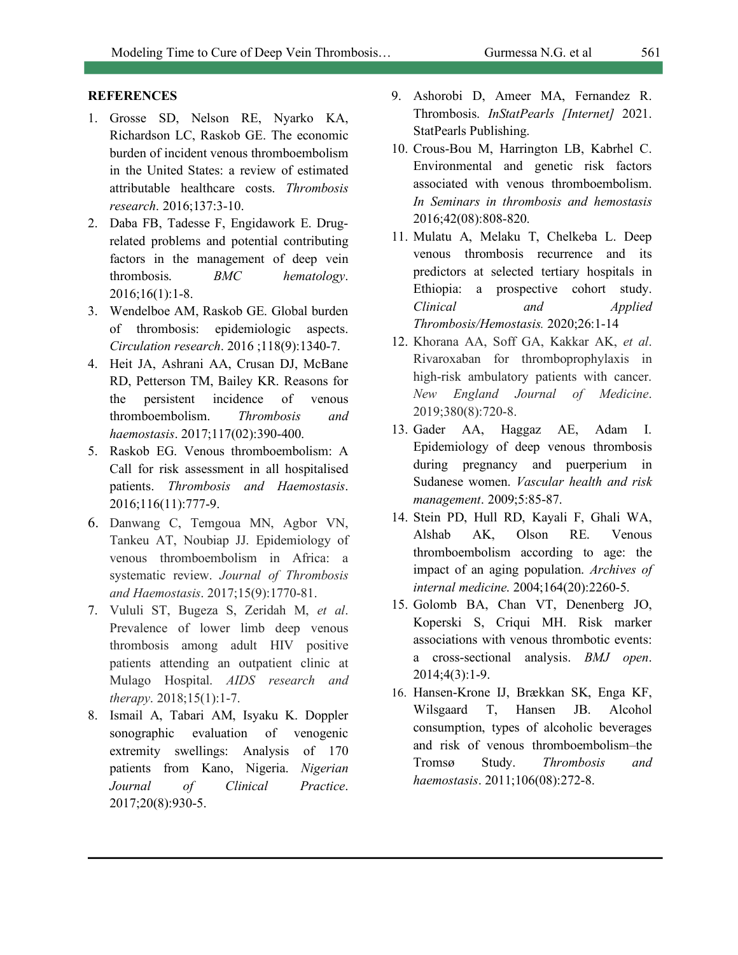### **REFERENCES**

- 1. Grosse SD, Nelson RE, Nyarko KA, Richardson LC, Raskob GE. The economic burden of incident venous thromboembolism in the United States: a review of estimated attributable healthcare costs. *Thrombosis research*. 2016;137:3-10.
- 2. Daba FB, Tadesse F, Engidawork E. Drugrelated problems and potential contributing factors in the management of deep vein thrombosis. *BMC hematology*. 2016;16(1):1-8.
- 3. Wendelboe AM, Raskob GE. Global burden of thrombosis: epidemiologic aspects. *Circulation research*. 2016 ;118(9):1340-7.
- 4. Heit JA, Ashrani AA, Crusan DJ, McBane RD, Petterson TM, Bailey KR. Reasons for the persistent incidence of venous thromboembolism. *Thrombosis and haemostasis*. 2017;117(02):390-400.
- 5. Raskob EG. Venous thromboembolism: A Call for risk assessment in all hospitalised patients. *Thrombosis and Haemostasis*. 2016;116(11):777-9.
- 6. Danwang C, Temgoua MN, Agbor VN, Tankeu AT, Noubiap JJ. Epidemiology of venous thromboembolism in Africa: a systematic review. *Journal of Thrombosis and Haemostasis*. 2017;15(9):1770-81.
- 7. Vululi ST, Bugeza S, Zeridah M, *et al*. Prevalence of lower limb deep venous thrombosis among adult HIV positive patients attending an outpatient clinic at Mulago Hospital. *AIDS research and therapy*. 2018;15(1):1-7.
- 8. Ismail A, Tabari AM, Isyaku K. Doppler sonographic evaluation of venogenic extremity swellings: Analysis of 170 patients from Kano, Nigeria. *Nigerian Journal of Clinical Practice*. 2017;20(8):930-5.
- 9. Ashorobi D, Ameer MA, Fernandez R. Thrombosis. *InStatPearls [Internet]* 2021. StatPearls Publishing.
- 10. Crous-Bou M, Harrington LB, Kabrhel C. Environmental and genetic risk factors associated with venous thromboembolism. *In Seminars in thrombosis and hemostasis* 2016;42(08):808-820.
- 11. Mulatu A, Melaku T, Chelkeba L. Deep venous thrombosis recurrence and its predictors at selected tertiary hospitals in Ethiopia: a prospective cohort study. *Clinical and Applied Thrombosis/Hemostasis.* 2020;26:1-14
- 12. Khorana AA, Soff GA, Kakkar AK, *et al*. Rivaroxaban for thromboprophylaxis in high-risk ambulatory patients with cancer. *New England Journal of Medicine*. 2019;380(8):720-8.
- 13. Gader AA, Haggaz AE, Adam I. Epidemiology of deep venous thrombosis during pregnancy and puerperium in Sudanese women. *Vascular health and risk management*. 2009;5:85-87.
- 14. Stein PD, Hull RD, Kayali F, Ghali WA, Alshab AK, Olson RE. Venous thromboembolism according to age: the impact of an aging population. *Archives of internal medicine*. 2004;164(20):2260-5.
- 15. Golomb BA, Chan VT, Denenberg JO, Koperski S, Criqui MH. Risk marker associations with venous thrombotic events: a cross-sectional analysis. *BMJ open*. 2014;4(3):1-9.
- 16. Hansen-Krone IJ, Brækkan SK, Enga KF, Wilsgaard T, Hansen JB. Alcohol consumption, types of alcoholic beverages and risk of venous thromboembolism–the Tromsø Study. *Thrombosis and haemostasis*. 2011;106(08):272-8.